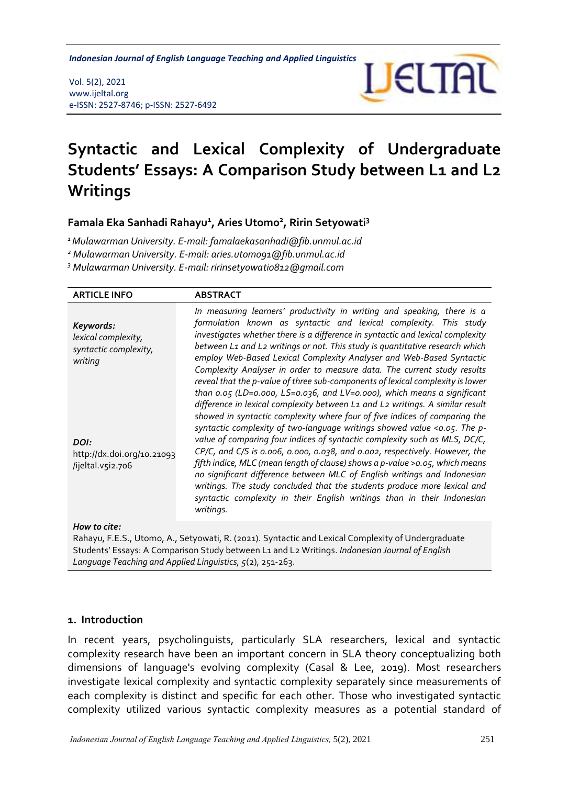*Indonesian Journal of English Language Teaching and Applied Linguistics* 

Vol. 5(2), 2021 www.ijeltal.org e-ISSN: 2527-8746; p-ISSN: 2527-6492



# **Syntactic and Lexical Complexity of Undergraduate Students' Essays: A Comparison Study between L1 and L2 Writings**

**Famala Eka Sanhadi Rahayu<sup>1</sup> , Aries Utomo<sup>2</sup> , Ririn Setyowati<sup>3</sup>**

*<sup>1</sup>Mulawarman University. E-mail: famalaekasanhadi@fib.unmul.ac.id*

*<sup>2</sup> Mulawarman University. E-mail: aries.utomo91@fib.unmul.ac.id*

*<sup>3</sup> Mulawarman University. E-mail: [ririnsetyowati0812@gmail.com](mailto:ririnsetyowati0812@gmail.com)*

| <b>ARTICLE INFO</b>                                                  | <b>ABSTRACT</b>                                                                                                                                                                                                                                                                                                                                                                                                                                                                                                                                                                                                                                                                                                                      |  |  |  |  |
|----------------------------------------------------------------------|--------------------------------------------------------------------------------------------------------------------------------------------------------------------------------------------------------------------------------------------------------------------------------------------------------------------------------------------------------------------------------------------------------------------------------------------------------------------------------------------------------------------------------------------------------------------------------------------------------------------------------------------------------------------------------------------------------------------------------------|--|--|--|--|
| Keywords:<br>lexical complexity,<br>syntactic complexity,<br>writing | In measuring learners' productivity in writing and speaking, there is a<br>formulation known as syntactic and lexical complexity. This study<br>investigates whether there is a difference in syntactic and lexical complexity<br>between L1 and L2 writings or not. This study is quantitative research which<br>employ Web-Based Lexical Complexity Analyser and Web-Based Syntactic<br>Complexity Analyser in order to measure data. The current study results<br>reveal that the p-value of three sub-components of lexical complexity is lower<br>than 0.05 (LD=0.000, LS=0.036, and LV=0.000), which means a significant                                                                                                       |  |  |  |  |
| DOI:<br>http://dx.doi.org/10.21093<br>/ijeltal.v5i2.706              | difference in lexical complexity between L1 and L2 writings. A similar result<br>showed in syntactic complexity where four of five indices of comparing the<br>syntactic complexity of two-language writings showed value <0.05. The p-<br>value of comparing four indices of syntactic complexity such as MLS, DC/C,<br>CP/C, and C/S is 0.006, 0.000, 0.038, and 0.002, respectively. However, the<br>fifth indice, MLC (mean length of clause) shows a p-value >0.05, which means<br>no significant difference between MLC of English writings and Indonesian<br>writings. The study concluded that the students produce more lexical and<br>syntactic complexity in their English writings than in their Indonesian<br>writings. |  |  |  |  |
| $H_{OM}$ to citar                                                    |                                                                                                                                                                                                                                                                                                                                                                                                                                                                                                                                                                                                                                                                                                                                      |  |  |  |  |

*How to cite:*

Rahayu, F.E.S., Utomo, A., Setyowati, R. (2021). Syntactic and Lexical Complexity of Undergraduate Students' Essays: A Comparison Study between L1 and L2 Writings. *Indonesian Journal of English Language Teaching and Applied Linguistics, 5*(2), 251-263.

#### **1. Introduction**

In recent years, psycholinguists, particularly SLA researchers, lexical and syntactic complexity research have been an important concern in SLA theory conceptualizing both dimensions of language's evolving complexity (Casal & Lee, 2019). Most researchers investigate lexical complexity and syntactic complexity separately since measurements of each complexity is distinct and specific for each other. Those who investigated syntactic complexity utilized various syntactic complexity measures as a potential standard of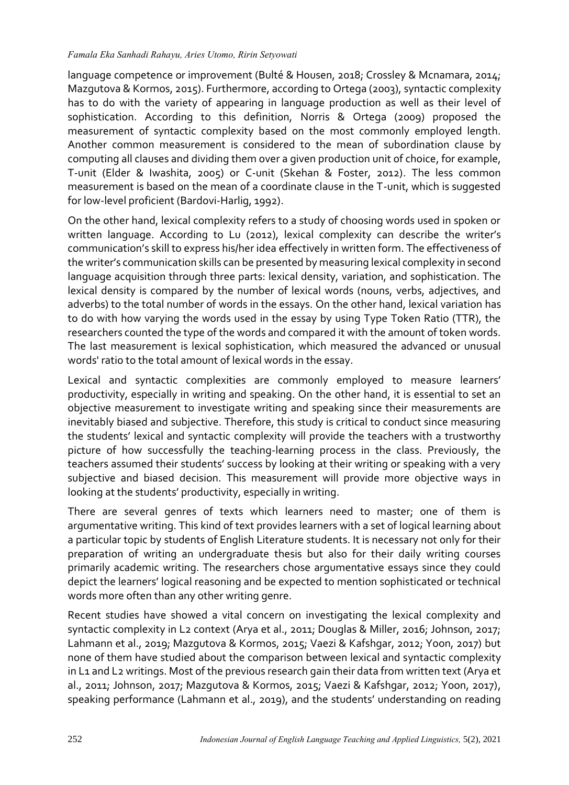#### *Famala Eka Sanhadi Rahayu, Aries Utomo, Ririn Setyowati*

language competence or improvement (Bulté & Housen, 2018; Crossley & Mcnamara, 2014; Mazgutova & Kormos, 2015). Furthermore, according to Ortega (2003), syntactic complexity has to do with the variety of appearing in language production as well as their level of sophistication. According to this definition, Norris & Ortega (2009) proposed the measurement of syntactic complexity based on the most commonly employed length. Another common measurement is considered to the mean of subordination clause by computing all clauses and dividing them over a given production unit of choice, for example, T-unit (Elder & Iwashita, 2005) or C-unit (Skehan & Foster, 2012). The less common measurement is based on the mean of a coordinate clause in the T-unit, which is suggested for low-level proficient (Bardovi-Harlig, 1992).

On the other hand, lexical complexity refers to a study of choosing words used in spoken or written language. According to Lu (2012), lexical complexity can describe the writer's communication's skill to express his/her idea effectively in written form. The effectiveness of the writer's communication skills can be presented by measuring lexical complexity in second language acquisition through three parts: lexical density, variation, and sophistication. The lexical density is compared by the number of lexical words (nouns, verbs, adjectives, and adverbs) to the total number of words in the essays. On the other hand, lexical variation has to do with how varying the words used in the essay by using Type Token Ratio (TTR), the researchers counted the type of the words and compared it with the amount of token words. The last measurement is lexical sophistication, which measured the advanced or unusual words' ratio to the total amount of lexical words in the essay.

Lexical and syntactic complexities are commonly employed to measure learners' productivity, especially in writing and speaking. On the other hand, it is essential to set an objective measurement to investigate writing and speaking since their measurements are inevitably biased and subjective. Therefore, this study is critical to conduct since measuring the students' lexical and syntactic complexity will provide the teachers with a trustworthy picture of how successfully the teaching-learning process in the class. Previously, the teachers assumed their students' success by looking at their writing or speaking with a very subjective and biased decision. This measurement will provide more objective ways in looking at the students' productivity, especially in writing.

There are several genres of texts which learners need to master; one of them is argumentative writing. This kind of text provides learners with a set of logical learning about a particular topic by students of English Literature students. It is necessary not only for their preparation of writing an undergraduate thesis but also for their daily writing courses primarily academic writing. The researchers chose argumentative essays since they could depict the learners' logical reasoning and be expected to mention sophisticated or technical words more often than any other writing genre.

Recent studies have showed a vital concern on investigating the lexical complexity and syntactic complexity in L2 context (Arya et al., 2011; Douglas & Miller, 2016; Johnson, 2017; Lahmann et al., 2019; Mazgutova & Kormos, 2015; Vaezi & Kafshgar, 2012; Yoon, 2017) but none of them have studied about the comparison between lexical and syntactic complexity in L1 and L2 writings. Most of the previous research gain their data from written text (Arya et al., 2011; Johnson, 2017; Mazgutova & Kormos, 2015; Vaezi & Kafshgar, 2012; Yoon, 2017), speaking performance (Lahmann et al., 2019), and the students' understanding on reading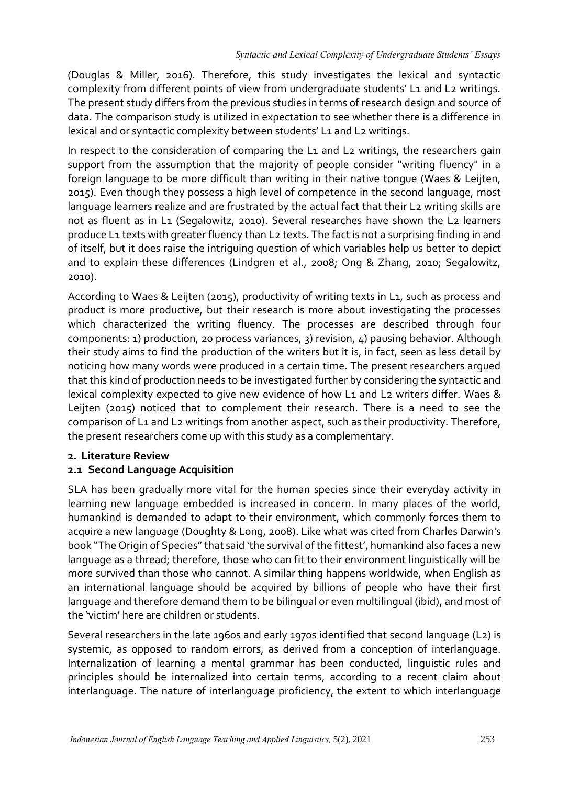(Douglas & Miller, 2016). Therefore, this study investigates the lexical and syntactic complexity from different points of view from undergraduate students' L1 and L2 writings. The present study differs from the previous studies in terms of research design and source of data. The comparison study is utilized in expectation to see whether there is a difference in lexical and or syntactic complexity between students' L1 and L2 writings.

In respect to the consideration of comparing the L1 and L2 writings, the researchers gain support from the assumption that the majority of people consider "writing fluency" in a foreign language to be more difficult than writing in their native tongue (Waes & Leijten, 2015). Even though they possess a high level of competence in the second language, most language learners realize and are frustrated by the actual fact that their L2 writing skills are not as fluent as in L1 (Segalowitz, 2010). Several researches have shown the L2 learners produce L1 texts with greater fluency than L2 texts. The fact is not a surprising finding in and of itself, but it does raise the intriguing question of which variables help us better to depict and to explain these differences (Lindgren et al., 2008; Ong & Zhang, 2010; Segalowitz, 2010).

According to Waes & Leijten (2015), productivity of writing texts in L1, such as process and product is more productive, but their research is more about investigating the processes which characterized the writing fluency. The processes are described through four components: 1) production, 20 process variances, 3) revision, 4) pausing behavior. Although their study aims to find the production of the writers but it is, in fact, seen as less detail by noticing how many words were produced in a certain time. The present researchers argued that this kind of production needs to be investigated further by considering the syntactic and lexical complexity expected to give new evidence of how L1 and L2 writers differ. Waes & Leijten (2015) noticed that to complement their research. There is a need to see the comparison of L1 and L2 writings from another aspect, such as their productivity. Therefore, the present researchers come up with this study as a complementary.

## **2. Literature Review**

## **2.1 Second Language Acquisition**

SLA has been gradually more vital for the human species since their everyday activity in learning new language embedded is increased in concern. In many places of the world, humankind is demanded to adapt to their environment, which commonly forces them to acquire a new language (Doughty & Long, 2008). Like what was cited from Charles Darwin's book "The Origin of Species" that said 'the survival of the fittest', humankind also faces a new language as a thread; therefore, those who can fit to their environment linguistically will be more survived than those who cannot. A similar thing happens worldwide, when English as an international language should be acquired by billions of people who have their first language and therefore demand them to be bilingual or even multilingual (ibid), and most of the 'victim' here are children or students.

Several researchers in the late 1960s and early 1970s identified that second language (L2) is systemic, as opposed to random errors, as derived from a conception of interlanguage. Internalization of learning a mental grammar has been conducted, linguistic rules and principles should be internalized into certain terms, according to a recent claim about interlanguage. The nature of interlanguage proficiency, the extent to which interlanguage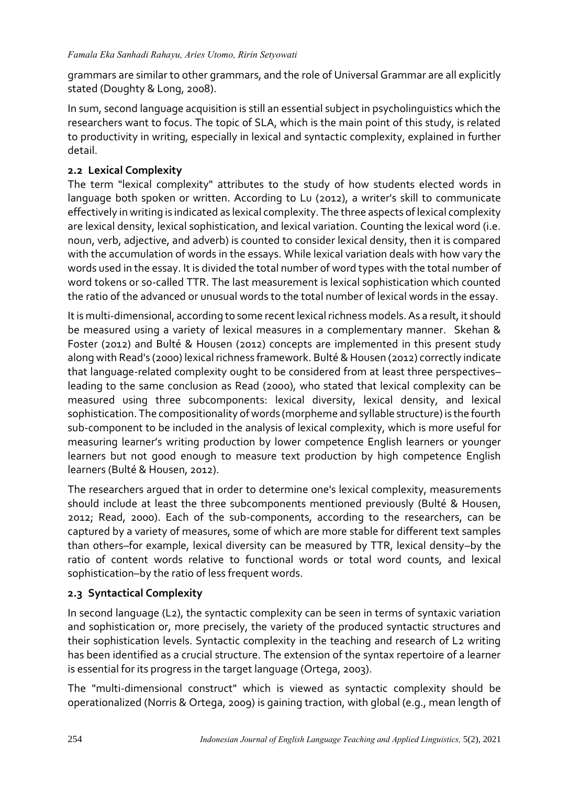grammars are similar to other grammars, and the role of Universal Grammar are all explicitly stated (Doughty & Long, 2008).

In sum, second language acquisition is still an essential subject in psycholinguistics which the researchers want to focus. The topic of SLA, which is the main point of this study, is related to productivity in writing, especially in lexical and syntactic complexity, explained in further detail.

## **2.2 Lexical Complexity**

The term "lexical complexity" attributes to the study of how students elected words in language both spoken or written. According to Lu (2012), a writer's skill to communicate effectively in writing is indicated as lexical complexity. The three aspects of lexical complexity are lexical density, lexical sophistication, and lexical variation. Counting the lexical word (i.e. noun, verb, adjective, and adverb) is counted to consider lexical density, then it is compared with the accumulation of words in the essays. While lexical variation deals with how vary the words used in the essay. It is divided the total number of word types with the total number of word tokens or so-called TTR. The last measurement is lexical sophistication which counted the ratio of the advanced or unusual words to the total number of lexical words in the essay.

It is multi-dimensional, according to some recent lexical richness models. As a result, it should be measured using a variety of lexical measures in a complementary manner. Skehan & Foster (2012) and Bulté & Housen (2012) concepts are implemented in this present study along with Read's (2000) lexical richness framework. Bulté & Housen (2012) correctly indicate that language-related complexity ought to be considered from at least three perspectives– leading to the same conclusion as Read (2000), who stated that lexical complexity can be measured using three subcomponents: lexical diversity, lexical density, and lexical sophistication. The compositionality of words (morpheme and syllable structure) is the fourth sub-component to be included in the analysis of lexical complexity, which is more useful for measuring learner's writing production by lower competence English learners or younger learners but not good enough to measure text production by high competence English learners (Bulté & Housen, 2012).

The researchers argued that in order to determine one's lexical complexity, measurements should include at least the three subcomponents mentioned previously (Bulté & Housen, 2012; Read, 2000). Each of the sub-components, according to the researchers, can be captured by a variety of measures, some of which are more stable for different text samples than others–for example, lexical diversity can be measured by TTR, lexical density–by the ratio of content words relative to functional words or total word counts, and lexical sophistication–by the ratio of less frequent words.

# **2.3 Syntactical Complexity**

In second language (L2), the syntactic complexity can be seen in terms of syntaxic variation and sophistication or, more precisely, the variety of the produced syntactic structures and their sophistication levels. Syntactic complexity in the teaching and research of L2 writing has been identified as a crucial structure. The extension of the syntax repertoire of a learner is essential for its progress in the target language (Ortega, 2003).

The "multi-dimensional construct" which is viewed as syntactic complexity should be operationalized (Norris & Ortega, 2009) is gaining traction, with global (e.g., mean length of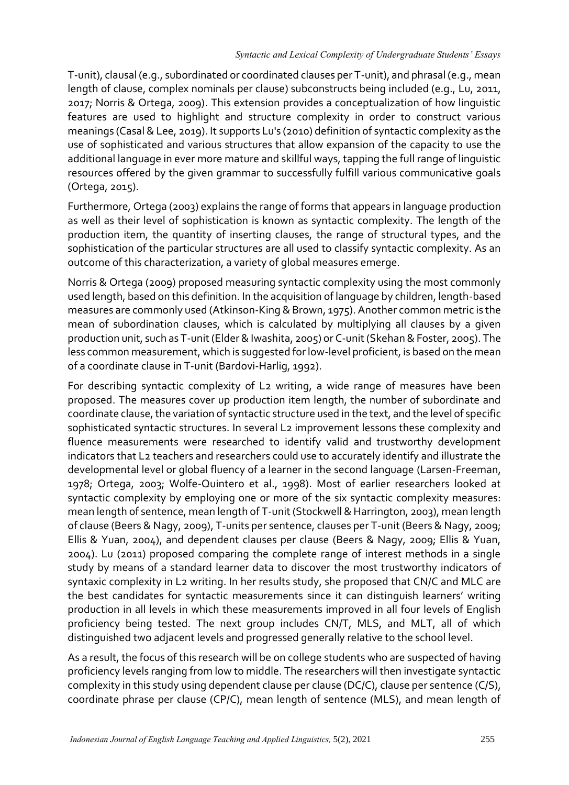T-unit), clausal (e.g., subordinated or coordinated clauses per T-unit), and phrasal (e.g., mean length of clause, complex nominals per clause) subconstructs being included (e.g., Lu, 2011, 2017; Norris & Ortega, 2009). This extension provides a conceptualization of how linguistic features are used to highlight and structure complexity in order to construct various meanings (Casal & Lee, 2019). It supports Lu's (2010) definition of syntactic complexity as the use of sophisticated and various structures that allow expansion of the capacity to use the additional language in ever more mature and skillful ways, tapping the full range of linguistic resources offered by the given grammar to successfully fulfill various communicative goals (Ortega, 2015).

Furthermore, Ortega (2003) explains the range of forms that appears in language production as well as their level of sophistication is known as syntactic complexity. The length of the production item, the quantity of inserting clauses, the range of structural types, and the sophistication of the particular structures are all used to classify syntactic complexity. As an outcome of this characterization, a variety of global measures emerge.

Norris & Ortega (2009) proposed measuring syntactic complexity using the most commonly used length, based on this definition. In the acquisition of language by children, length-based measures are commonly used (Atkinson-King & Brown, 1975). Another common metric is the mean of subordination clauses, which is calculated by multiplying all clauses by a given production unit, such as T-unit (Elder & Iwashita, 2005) or C-unit (Skehan & Foster, 2005). The less common measurement, which is suggested for low-level proficient, is based on the mean of a coordinate clause in T-unit (Bardovi-Harlig, 1992).

For describing syntactic complexity of L2 writing, a wide range of measures have been proposed. The measures cover up production item length, the number of subordinate and coordinate clause, the variation of syntactic structure used in the text, and the level of specific sophisticated syntactic structures. In several L2 improvement lessons these complexity and fluence measurements were researched to identify valid and trustworthy development indicators that L2 teachers and researchers could use to accurately identify and illustrate the developmental level or global fluency of a learner in the second language (Larsen-Freeman, 1978; Ortega, 2003; Wolfe-Quintero et al., 1998). Most of earlier researchers looked at syntactic complexity by employing one or more of the six syntactic complexity measures: mean length of sentence, mean length of T-unit (Stockwell & Harrington, 2003), mean length of clause (Beers & Nagy, 2009), T-units per sentence, clauses per T-unit (Beers & Nagy, 2009; Ellis & Yuan, 2004), and dependent clauses per clause (Beers & Nagy, 2009; Ellis & Yuan, 2004). Lu (2011) proposed comparing the complete range of interest methods in a single study by means of a standard learner data to discover the most trustworthy indicators of syntaxic complexity in L2 writing. In her results study, she proposed that CN/C and MLC are the best candidates for syntactic measurements since it can distinguish learners' writing production in all levels in which these measurements improved in all four levels of English proficiency being tested. The next group includes CN/T, MLS, and MLT, all of which distinguished two adjacent levels and progressed generally relative to the school level.

As a result, the focus of this research will be on college students who are suspected of having proficiency levels ranging from low to middle. The researchers will then investigate syntactic complexity in this study using dependent clause per clause (DC/C), clause per sentence (C/S), coordinate phrase per clause (CP/C), mean length of sentence (MLS), and mean length of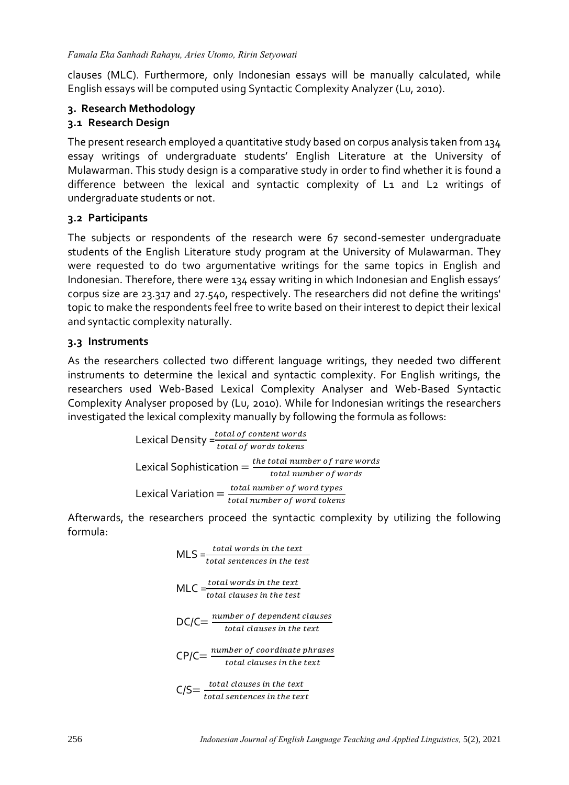clauses (MLC). Furthermore, only Indonesian essays will be manually calculated, while English essays will be computed using Syntactic Complexity Analyzer (Lu, 2010).

#### **3. Research Methodology 3.1 Research Design**

The present research employed a quantitative study based on corpus analysis taken from 134 essay writings of undergraduate students' English Literature at the University of Mulawarman. This study design is a comparative study in order to find whether it is found a difference between the lexical and syntactic complexity of L1 and L2 writings of undergraduate students or not.

## **3.2 Participants**

The subjects or respondents of the research were 67 second-semester undergraduate students of the English Literature study program at the University of Mulawarman. They were requested to do two argumentative writings for the same topics in English and Indonesian. Therefore, there were 134 essay writing in which Indonesian and English essays' corpus size are 23.317 and 27.540, respectively. The researchers did not define the writings' topic to make the respondents feel free to write based on their interest to depict their lexical and syntactic complexity naturally.

## **3.3 Instruments**

As the researchers collected two different language writings, they needed two different instruments to determine the lexical and syntactic complexity. For English writings, the researchers used Web-Based Lexical Complexity Analyser and Web-Based Syntactic Complexity Analyser proposed by (Lu, 2010). While for Indonesian writings the researchers investigated the lexical complexity manually by following the formula as follows:

Lexical Density = 
$$
\frac{total\ of\ content\ words}{total\ of\ words\ tokens}
$$

\nLexical Sophia = 
$$
\frac{the\ total\ number\ of\ rare\ words}{total\ number\ of\ words}
$$

\nLexical Variation = 
$$
\frac{total\ number\ of\ word\ types}{total\ number\ of\ word\ tokens}
$$

Afterwards, the researchers proceed the syntactic complexity by utilizing the following formula:

$$
MLS = \frac{total\ words\ in\ the\ text}{total\ sentences\ in\ the\ text}
$$
  
MLC =  $\frac{total\ words\ in\ the\ text}{total\ clauses\ in\ the\ test}$   
DC/CC =  $\frac{number\ of\ dependent\ clauses}{total\ clauses\ in\ the\ text}$   
CP/CC =  $\frac{number\ of\ coordinate\ phrases}{total\ clauses\ in\ the\ text}$   
C/SC =  $\frac{total\ clauses\ in\ the\ text}{total\ sentences\ in\ the\ text}$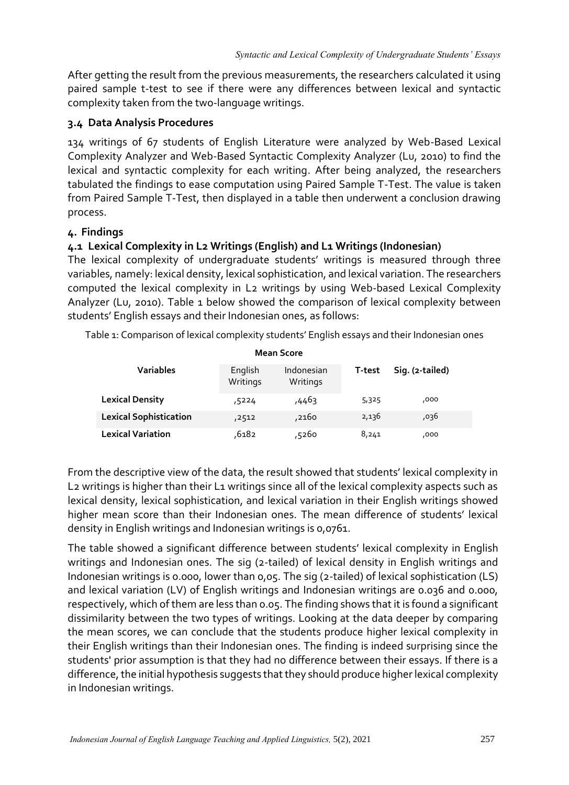After getting the result from the previous measurements, the researchers calculated it using paired sample t-test to see if there were any differences between lexical and syntactic complexity taken from the two-language writings.

## **3.4 Data Analysis Procedures**

134 writings of 67 students of English Literature were analyzed by Web-Based Lexical Complexity Analyzer and Web-Based Syntactic Complexity Analyzer (Lu, 2010) to find the lexical and syntactic complexity for each writing. After being analyzed, the researchers tabulated the findings to ease computation using Paired Sample T-Test. The value is taken from Paired Sample T-Test, then displayed in a table then underwent a conclusion drawing process.

#### **4. Findings**

## **4.1 Lexical Complexity in L2 Writings (English) and L1 Writings (Indonesian)**

The lexical complexity of undergraduate students' writings is measured through three variables, namely: lexical density, lexical sophistication, and lexical variation. The researchers computed the lexical complexity in L2 writings by using Web-based Lexical Complexity Analyzer (Lu, 2010). Table 1 below showed the comparison of lexical complexity between students' English essays and their Indonesian ones, as follows:

Table 1: Comparison of lexical complexity students' English essays and their Indonesian ones

| <b>Mean Score</b>             |                     |                        |        |                 |  |  |  |  |  |
|-------------------------------|---------------------|------------------------|--------|-----------------|--|--|--|--|--|
| <b>Variables</b>              | English<br>Writings | Indonesian<br>Writings | T-test | Sig. (2-tailed) |  |  |  |  |  |
| <b>Lexical Density</b>        | ,5224               | ,4463                  | 5,325  | ,000            |  |  |  |  |  |
| <b>Lexical Sophistication</b> | ,2512               | ,2160                  | 2,136  | ,036            |  |  |  |  |  |
| <b>Lexical Variation</b>      | 6182,               | 5260,                  | 8,241  | ,000            |  |  |  |  |  |

From the descriptive view of the data, the result showed that students' lexical complexity in L<sub>2</sub> writings is higher than their L<sub>1</sub> writings since all of the lexical complexity aspects such as lexical density, lexical sophistication, and lexical variation in their English writings showed higher mean score than their Indonesian ones. The mean difference of students' lexical density in English writings and Indonesian writings is 0,0761.

The table showed a significant difference between students' lexical complexity in English writings and Indonesian ones. The sig (2-tailed) of lexical density in English writings and Indonesian writings is 0.000, lower than 0,05. The sig (2-tailed) of lexical sophistication (LS) and lexical variation (LV) of English writings and Indonesian writings are 0.036 and 0.000, respectively, which of them are less than 0.05. The finding shows that it is found a significant dissimilarity between the two types of writings. Looking at the data deeper by comparing the mean scores, we can conclude that the students produce higher lexical complexity in their English writings than their Indonesian ones. The finding is indeed surprising since the students' prior assumption is that they had no difference between their essays. If there is a difference, the initial hypothesis suggests that they should produce higher lexical complexity in Indonesian writings.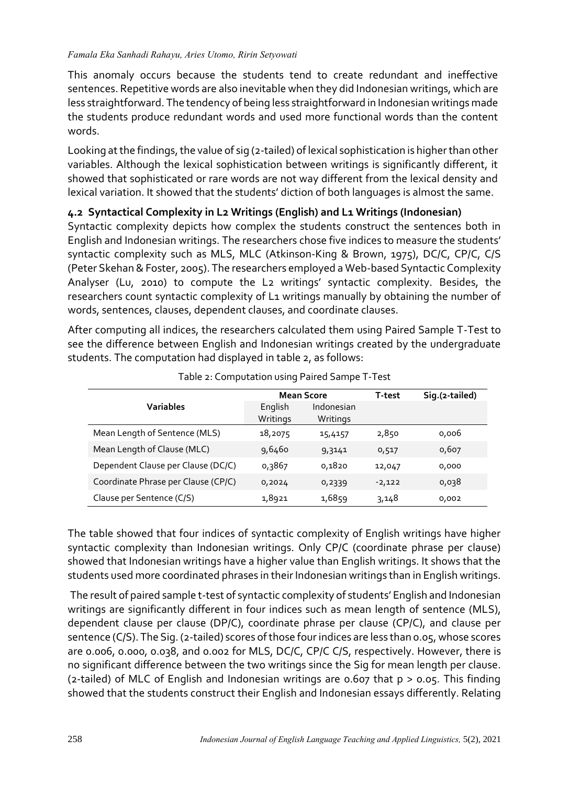#### *Famala Eka Sanhadi Rahayu, Aries Utomo, Ririn Setyowati*

This anomaly occurs because the students tend to create redundant and ineffective sentences. Repetitive words are also inevitable when they did Indonesian writings, which are less straightforward. The tendency of being less straightforward in Indonesian writings made the students produce redundant words and used more functional words than the content words.

Looking at the findings, the value of sig (2-tailed) of lexical sophistication is higher than other variables. Although the lexical sophistication between writings is significantly different, it showed that sophisticated or rare words are not way different from the lexical density and lexical variation. It showed that the students' diction of both languages is almost the same.

## **4.2 Syntactical Complexity in L2 Writings (English) and L1 Writings (Indonesian)**

Syntactic complexity depicts how complex the students construct the sentences both in English and Indonesian writings. The researchers chose five indices to measure the students' syntactic complexity such as MLS, MLC (Atkinson-King & Brown, 1975), DC/C, CP/C, C/S (Peter Skehan & Foster, 2005). The researchers employed a Web-based Syntactic Complexity Analyser (Lu, 2010) to compute the L2 writings' syntactic complexity. Besides, the researchers count syntactic complexity of L1 writings manually by obtaining the number of words, sentences, clauses, dependent clauses, and coordinate clauses.

After computing all indices, the researchers calculated them using Paired Sample T-Test to see the difference between English and Indonesian writings created by the undergraduate students. The computation had displayed in table 2, as follows:

|                                     | <b>Mean Score</b>   |                        | T-test   | Sig.(2-tailed) |
|-------------------------------------|---------------------|------------------------|----------|----------------|
| Variables                           | English<br>Writings | Indonesian<br>Writings |          |                |
| Mean Length of Sentence (MLS)       | 18,2075             | 15,4157                | 2,850    | 0,006          |
| Mean Length of Clause (MLC)         | 9,6460              | 9,3141                 | 0,517    | 0,607          |
| Dependent Clause per Clause (DC/C)  | 0,3867              | 0,1820                 | 12,047   | 0,000          |
| Coordinate Phrase per Clause (CP/C) | 0,2024              | 0,2339                 | $-2,122$ | 0,038          |
| Clause per Sentence (C/S)           | 1,8921              | 1,6859                 | 3,148    | 0,002          |

|  | Table 2: Computation using Paired Sampe T-Test |  |  |  |
|--|------------------------------------------------|--|--|--|
|--|------------------------------------------------|--|--|--|

The table showed that four indices of syntactic complexity of English writings have higher syntactic complexity than Indonesian writings. Only CP/C (coordinate phrase per clause) showed that Indonesian writings have a higher value than English writings. It shows that the students used more coordinated phrases in their Indonesian writings than in English writings.

The result of paired sample t-test of syntactic complexity of students' English and Indonesian writings are significantly different in four indices such as mean length of sentence (MLS), dependent clause per clause (DP/C), coordinate phrase per clause (CP/C), and clause per sentence (C/S). The Sig. (2-tailed) scores of those four indices are less than 0.05, whose scores are 0.006, 0.000, 0.038, and 0.002 for MLS, DC/C, CP/C C/S, respectively. However, there is no significant difference between the two writings since the Sig for mean length per clause. (2-tailed) of MLC of English and Indonesian writings are 0.607 that p > 0.05. This finding showed that the students construct their English and Indonesian essays differently. Relating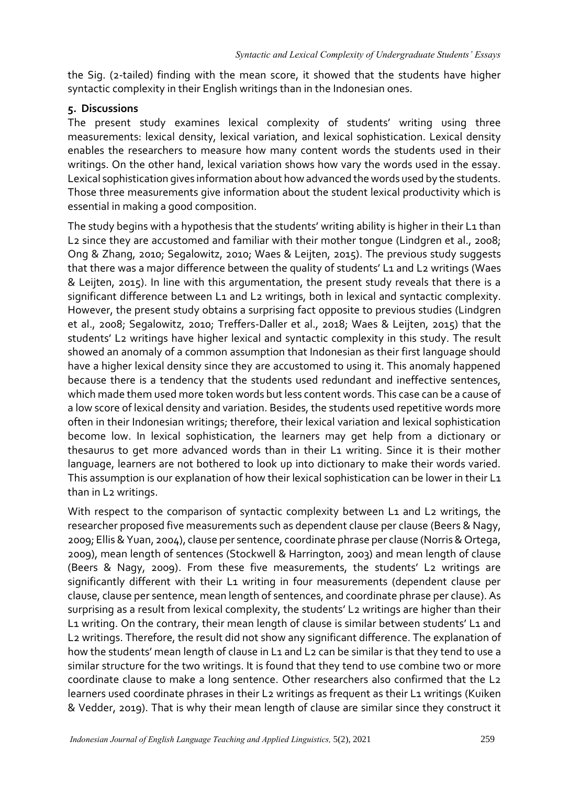the Sig. (2-tailed) finding with the mean score, it showed that the students have higher syntactic complexity in their English writings than in the Indonesian ones.

#### **5. Discussions**

The present study examines lexical complexity of students' writing using three measurements: lexical density, lexical variation, and lexical sophistication. Lexical density enables the researchers to measure how many content words the students used in their writings. On the other hand, lexical variation shows how vary the words used in the essay. Lexical sophistication gives information about how advanced the words used by the students. Those three measurements give information about the student lexical productivity which is essential in making a good composition.

The study begins with a hypothesis that the students' writing ability is higher in their L1 than L2 since they are accustomed and familiar with their mother tongue (Lindgren et al., 2008; Ong & Zhang, 2010; Segalowitz, 2010; Waes & Leijten, 2015). The previous study suggests that there was a major difference between the quality of students' L1 and L2 writings (Waes & Leijten, 2015). In line with this argumentation, the present study reveals that there is a significant difference between L1 and L2 writings, both in lexical and syntactic complexity. However, the present study obtains a surprising fact opposite to previous studies (Lindgren et al., 2008; Segalowitz, 2010; Treffers-Daller et al., 2018; Waes & Leijten, 2015) that the students' L2 writings have higher lexical and syntactic complexity in this study. The result showed an anomaly of a common assumption that Indonesian as their first language should have a higher lexical density since they are accustomed to using it. This anomaly happened because there is a tendency that the students used redundant and ineffective sentences, which made them used more token words but less content words. This case can be a cause of a low score of lexical density and variation. Besides, the students used repetitive words more often in their Indonesian writings; therefore, their lexical variation and lexical sophistication become low. In lexical sophistication, the learners may get help from a dictionary or thesaurus to get more advanced words than in their L1 writing. Since it is their mother language, learners are not bothered to look up into dictionary to make their words varied. This assumption is our explanation of how their lexical sophistication can be lower in their L1 than in L2 writings.

With respect to the comparison of syntactic complexity between L1 and L2 writings, the researcher proposed five measurements such as dependent clause per clause (Beers & Nagy, 2009; Ellis & Yuan, 2004), clause per sentence, coordinate phrase per clause (Norris & Ortega, 2009), mean length of sentences (Stockwell & Harrington, 2003) and mean length of clause (Beers & Nagy, 2009). From these five measurements, the students' L2 writings are significantly different with their L1 writing in four measurements (dependent clause per clause, clause per sentence, mean length of sentences, and coordinate phrase per clause). As surprising as a result from lexical complexity, the students' L2 writings are higher than their L1 writing. On the contrary, their mean length of clause is similar between students' L1 and L2 writings. Therefore, the result did not show any significant difference. The explanation of how the students' mean length of clause in L1 and L2 can be similar is that they tend to use a similar structure for the two writings. It is found that they tend to use combine two or more coordinate clause to make a long sentence. Other researchers also confirmed that the L2 learners used coordinate phrases in their L2 writings as frequent as their L1 writings (Kuiken & Vedder, 2019). That is why their mean length of clause are similar since they construct it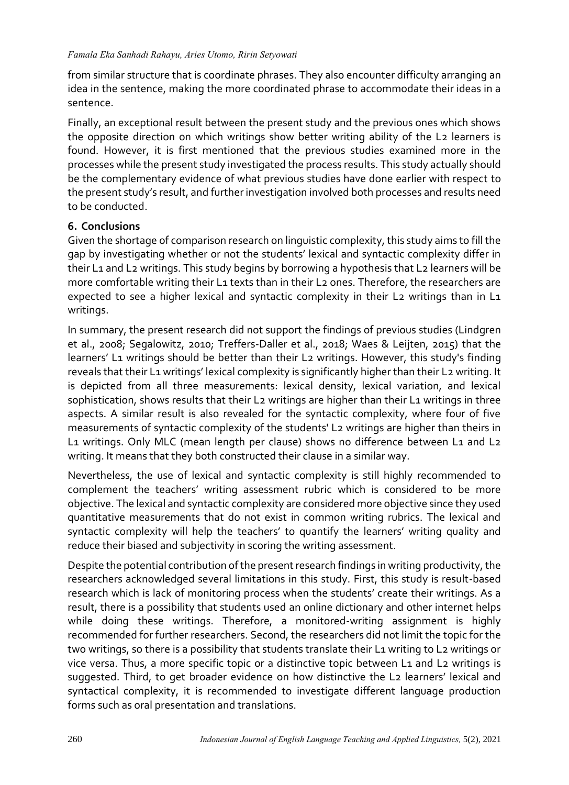from similar structure that is coordinate phrases. They also encounter difficulty arranging an idea in the sentence, making the more coordinated phrase to accommodate their ideas in a sentence.

Finally, an exceptional result between the present study and the previous ones which shows the opposite direction on which writings show better writing ability of the L2 learners is found. However, it is first mentioned that the previous studies examined more in the processes while the present study investigated the process results. This study actually should be the complementary evidence of what previous studies have done earlier with respect to the present study's result, and further investigation involved both processes and results need to be conducted.

#### **6. Conclusions**

Given the shortage of comparison research on linguistic complexity, this study aims to fill the gap by investigating whether or not the students' lexical and syntactic complexity differ in their L1 and L2 writings. This study begins by borrowing a hypothesis that L2 learners will be more comfortable writing their L1 texts than in their L2 ones. Therefore, the researchers are expected to see a higher lexical and syntactic complexity in their L2 writings than in L1 writings.

In summary, the present research did not support the findings of previous studies (Lindgren et al., 2008; Segalowitz, 2010; Treffers-Daller et al., 2018; Waes & Leijten, 2015) that the learners' L1 writings should be better than their L2 writings. However, this study's finding reveals that their L1 writings' lexical complexity is significantly higher than their L2 writing. It is depicted from all three measurements: lexical density, lexical variation, and lexical sophistication, shows results that their L2 writings are higher than their L1 writings in three aspects. A similar result is also revealed for the syntactic complexity, where four of five measurements of syntactic complexity of the students' L2 writings are higher than theirs in L1 writings. Only MLC (mean length per clause) shows no difference between L1 and L2 writing. It means that they both constructed their clause in a similar way.

Nevertheless, the use of lexical and syntactic complexity is still highly recommended to complement the teachers' writing assessment rubric which is considered to be more objective. The lexical and syntactic complexity are considered more objective since they used quantitative measurements that do not exist in common writing rubrics. The lexical and syntactic complexity will help the teachers' to quantify the learners' writing quality and reduce their biased and subjectivity in scoring the writing assessment.

Despite the potential contribution of the present research findings in writing productivity, the researchers acknowledged several limitations in this study. First, this study is result-based research which is lack of monitoring process when the students' create their writings. As a result, there is a possibility that students used an online dictionary and other internet helps while doing these writings. Therefore, a monitored-writing assignment is highly recommended for further researchers. Second, the researchers did not limit the topic for the two writings, so there is a possibility that students translate their L1 writing to L2 writings or vice versa. Thus, a more specific topic or a distinctive topic between L1 and L2 writings is suggested. Third, to get broader evidence on how distinctive the L2 learners' lexical and syntactical complexity, it is recommended to investigate different language production forms such as oral presentation and translations.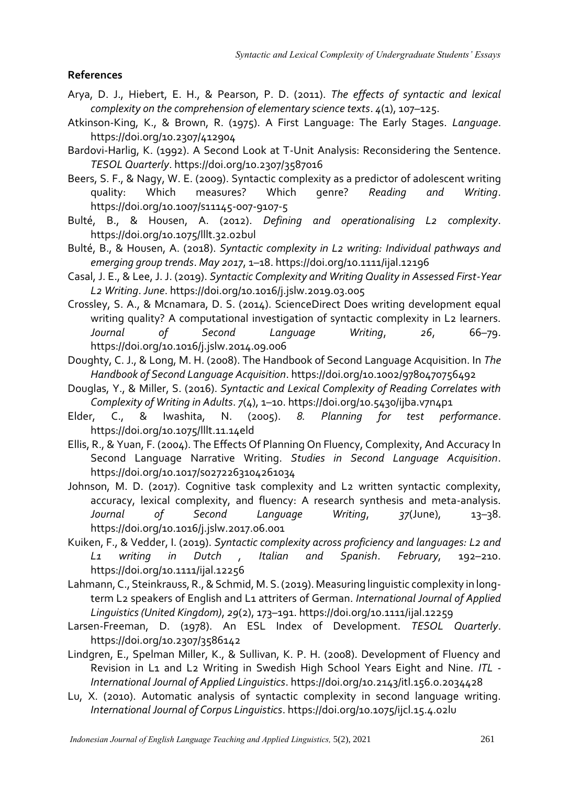#### **References**

- Arya, D. J., Hiebert, E. H., & Pearson, P. D. (2011). *The effects of syntactic and lexical complexity on the comprehension of elementary science texts*. *4*(1), 107–125.
- Atkinson-King, K., & Brown, R. (1975). A First Language: The Early Stages. *Language*. https://doi.org/10.2307/412904
- Bardovi-Harlig, K. (1992). A Second Look at T-Unit Analysis: Reconsidering the Sentence. *TESOL Quarterly*. https://doi.org/10.2307/3587016
- Beers, S. F., & Nagy, W. E. (2009). Syntactic complexity as a predictor of adolescent writing<br>
quality: Which measures? Which genre? Reading and Writing. quality: Which measures? Which genre? *Reading and Writing*. https://doi.org/10.1007/s11145-007-9107-5
- Bulté, B., & Housen, A. (2012). *Defining and operationalising L2 complexity*. https://doi.org/10.1075/lllt.32.02bul
- Bulté, B., & Housen, A. (2018). *Syntactic complexity in L2 writing: Individual pathways and emerging group trends*. *May 2017*, 1–18. https://doi.org/10.1111/ijal.12196
- Casal, J. E., & Lee, J. J. (2019). *Syntactic Complexity and Writing Quality in Assessed First-Year L2 Writing*. *June*. https://doi.org/10.1016/j.jslw.2019.03.005
- Crossley, S. A., & Mcnamara, D. S. (2014). ScienceDirect Does writing development equal writing quality? A computational investigation of syntactic complexity in L2 learners. *Journal of Second Language Writing*, *26*, 66–79. https://doi.org/10.1016/j.jslw.2014.09.006
- Doughty, C. J., & Long, M. H. (2008). The Handbook of Second Language Acquisition. In *The Handbook of Second Language Acquisition*. https://doi.org/10.1002/9780470756492
- Douglas, Y., & Miller, S. (2016). *Syntactic and Lexical Complexity of Reading Correlates with Complexity of Writing in Adults*. *7*(4), 1–10. https://doi.org/10.5430/ijba.v7n4p1
- Elder, C., & Iwashita, N. (2005). *8. Planning for test performance*. https://doi.org/10.1075/lllt.11.14eld
- Ellis, R., & Yuan, F. (2004). The Effects Of Planning On Fluency, Complexity, And Accuracy In Second Language Narrative Writing. *Studies in Second Language Acquisition*. https://doi.org/10.1017/s0272263104261034
- Johnson, M. D. (2017). Cognitive task complexity and L2 written syntactic complexity, accuracy, lexical complexity, and fluency: A research synthesis and meta-analysis. *Journal of Second Language Writing*, *37*(June), 13–38. https://doi.org/10.1016/j.jslw.2017.06.001
- Kuiken, F., & Vedder, I. (2019). *Syntactic complexity across proficiency and languages: L2 and L1 writing in Dutch , Italian and Spanish*. *February*, 192–210. https://doi.org/10.1111/ijal.12256
- Lahmann, C., Steinkrauss, R., & Schmid, M. S. (2019). Measuring linguistic complexity in longterm L2 speakers of English and L1 attriters of German. *International Journal of Applied Linguistics (United Kingdom)*, *29*(2), 173–191. https://doi.org/10.1111/ijal.12259
- Larsen-Freeman, D. (1978). An ESL Index of Development. *TESOL Quarterly*. https://doi.org/10.2307/3586142
- Lindgren, E., Spelman Miller, K., & Sullivan, K. P. H. (2008). Development of Fluency and Revision in L1 and L2 Writing in Swedish High School Years Eight and Nine. *ITL - International Journal of Applied Linguistics*. https://doi.org/10.2143/itl.156.0.2034428
- Lu, X. (2010). Automatic analysis of syntactic complexity in second language writing. *International Journal of Corpus Linguistics*. https://doi.org/10.1075/ijcl.15.4.02lu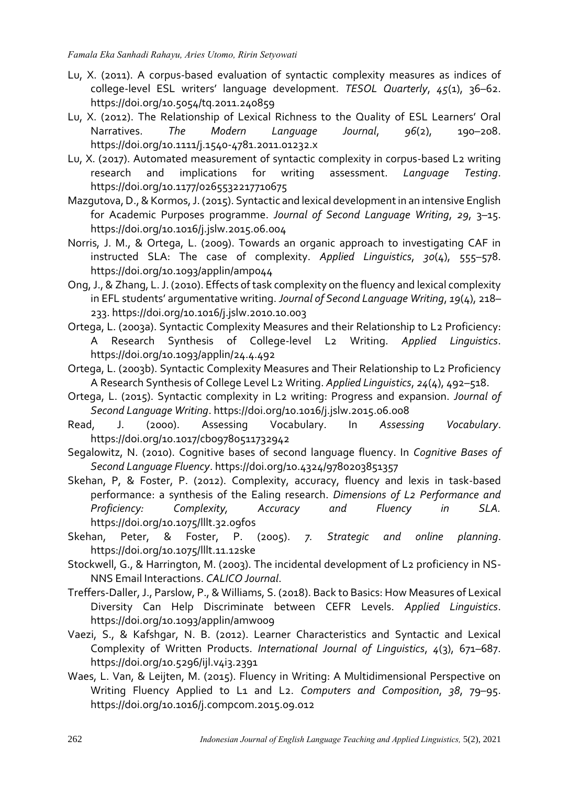- Lu, X. (2011). A corpus-based evaluation of syntactic complexity measures as indices of college-level ESL writers' language development. *TESOL Quarterly*, *45*(1), 36–62. https://doi.org/10.5054/tq.2011.240859
- Lu, X. (2012). The Relationship of Lexical Richness to the Quality of ESL Learners' Oral Narratives. *The Modern Language Journal*, *96*(2), 190–208. https://doi.org/10.1111/j.1540-4781.2011.01232.x
- Lu, X. (2017). Automated measurement of syntactic complexity in corpus-based L2 writing research and implications for writing assessment. *Language Testing*. https://doi.org/10.1177/0265532217710675
- Mazgutova, D., & Kormos, J. (2015). Syntactic and lexical development in an intensive English for Academic Purposes programme. *Journal of Second Language Writing*, *29*, 3–15. https://doi.org/10.1016/j.jslw.2015.06.004
- Norris, J. M., & Ortega, L. (2009). Towards an organic approach to investigating CAF in instructed SLA: The case of complexity. *Applied Linguistics*, *30*(4), 555–578. https://doi.org/10.1093/applin/amp044
- Ong, J., & Zhang, L. J. (2010). Effects of task complexity on the fluency and lexical complexity in EFL students' argumentative writing. *Journal of Second Language Writing*, *19*(4), 218– 233. https://doi.org/10.1016/j.jslw.2010.10.003
- Ortega, L. (2003a). Syntactic Complexity Measures and their Relationship to L2 Proficiency: A Research Synthesis of College-level L2 Writing. *Applied Linguistics*. https://doi.org/10.1093/applin/24.4.492
- Ortega, L. (2003b). Syntactic Complexity Measures and Their Relationship to L2 Proficiency A Research Synthesis of College Level L2 Writing. *Applied Linguistics*, *24*(4), 492–518.
- Ortega, L. (2015). Syntactic complexity in L2 writing: Progress and expansion. *Journal of Second Language Writing*. https://doi.org/10.1016/j.jslw.2015.06.008
- Read, J. (2000). Assessing Vocabulary. In *Assessing Vocabulary*. https://doi.org/10.1017/cbo9780511732942
- Segalowitz, N. (2010). Cognitive bases of second language fluency. In *Cognitive Bases of Second Language Fluency*. https://doi.org/10.4324/9780203851357
- Skehan, P, & Foster, P. (2012). Complexity, accuracy, fluency and lexis in task-based performance: a synthesis of the Ealing research. *Dimensions of L2 Performance and Proficiency: Complexity, Accuracy and Fluency in SLA.* https://doi.org/10.1075/lllt.32.09fos
- Skehan, Peter, & Foster, P. (2005). *7. Strategic and online planning*. https://doi.org/10.1075/lllt.11.12ske
- Stockwell, G., & Harrington, M. (2003). The incidental development of L2 proficiency in NS-NNS Email Interactions. *CALICO Journal*.
- Treffers-Daller, J., Parslow, P., & Williams, S. (2018). Back to Basics: How Measures of Lexical Diversity Can Help Discriminate between CEFR Levels. *Applied Linguistics*. https://doi.org/10.1093/applin/amw009
- Vaezi, S., & Kafshgar, N. B. (2012). Learner Characteristics and Syntactic and Lexical Complexity of Written Products. *International Journal of Linguistics*, *4*(3), 671–687. https://doi.org/10.5296/ijl.v4i3.2391
- Waes, L. Van, & Leijten, M. (2015). Fluency in Writing: A Multidimensional Perspective on Writing Fluency Applied to L1 and L2. *Computers and Composition*, *38*, 79–95. https://doi.org/10.1016/j.compcom.2015.09.012